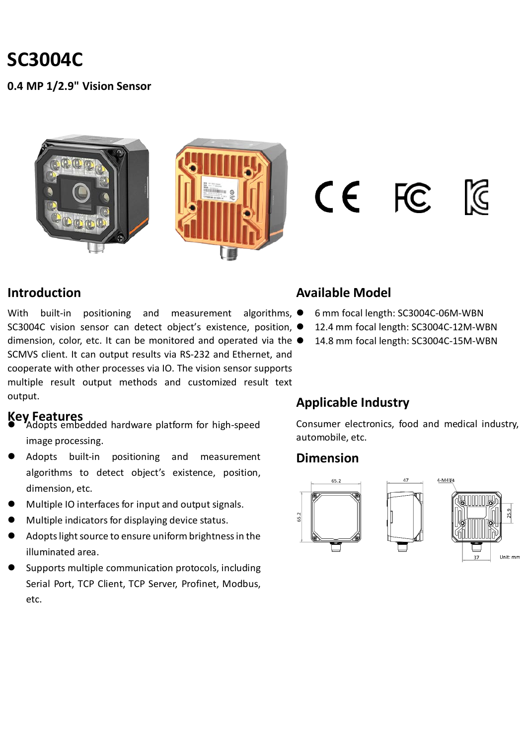# **SC3004C**

**0.4 MP 1/2.9" Vision Sensor**





 $CE$  FC



#### **Introduction**

With built-in positioning and measurement algorithms,  $\bullet$ SC3004C vision sensor can detect object's existence, position,  $\bullet$ dimension, color, etc. It can be monitored and operated via the  $\bullet$ SCMVS client. It can output results via RS-232 and Ethernet, and cooperate with other processes via IO. The vision sensor supports multiple result output methods and customized result text output.

- **Key Features** Adopts embedded hardware platform for high-speed image processing.
- Adopts built-in positioning and measurement algorithms to detect object's existence, position, dimension, etc.
- Multiple IO interfaces for input and output signals.
- Multiple indicators for displaying device status.
- Adopts light source to ensure uniform brightness in the illuminated area.
- Supports multiple communication protocols, including Serial Port, TCP Client, TCP Server, Profinet, Modbus, etc.

### **Available Model**

- 6 mm focal length: SC3004C-06M-WBN
- 12.4 mm focal length: SC3004C-12M-WBN
- 14.8 mm focal length: SC3004C-15M-WBN

### **Applicable Industry**

Consumer electronics, food and medical industry, automobile, etc.

#### **Dimension**

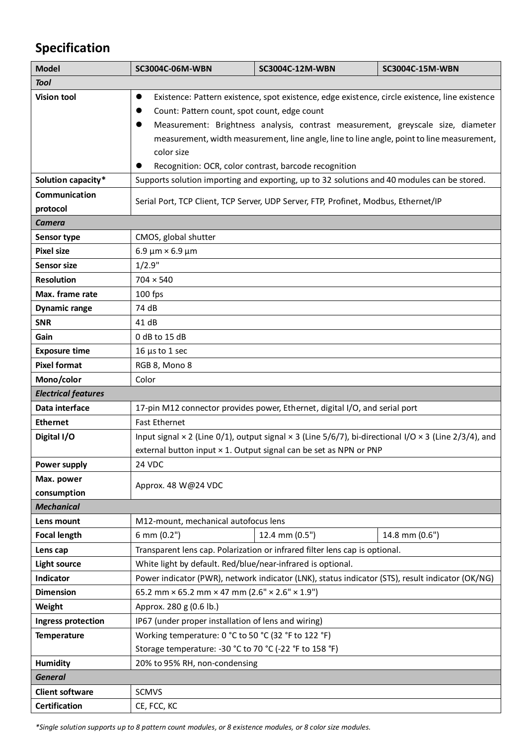# **Specification**

| <b>Model</b>               | SC3004C-06M-WBN                                                                                                            | SC3004C-12M-WBN                                                   | SC3004C-15M-WBN |  |
|----------------------------|----------------------------------------------------------------------------------------------------------------------------|-------------------------------------------------------------------|-----------------|--|
| <b>Tool</b>                |                                                                                                                            |                                                                   |                 |  |
| <b>Vision tool</b>         | Existence: Pattern existence, spot existence, edge existence, circle existence, line existence<br>$\bullet$                |                                                                   |                 |  |
|                            | Count: Pattern count, spot count, edge count                                                                               |                                                                   |                 |  |
|                            | Measurement: Brightness analysis, contrast measurement, greyscale size, diameter                                           |                                                                   |                 |  |
|                            | measurement, width measurement, line angle, line to line angle, point to line measurement,                                 |                                                                   |                 |  |
|                            | color size                                                                                                                 |                                                                   |                 |  |
|                            |                                                                                                                            | Recognition: OCR, color contrast, barcode recognition             |                 |  |
| Solution capacity*         | Supports solution importing and exporting, up to 32 solutions and 40 modules can be stored.                                |                                                                   |                 |  |
| Communication              | Serial Port, TCP Client, TCP Server, UDP Server, FTP, Profinet, Modbus, Ethernet/IP                                        |                                                                   |                 |  |
| protocol                   |                                                                                                                            |                                                                   |                 |  |
| <b>Camera</b>              |                                                                                                                            |                                                                   |                 |  |
| Sensor type                | CMOS, global shutter                                                                                                       |                                                                   |                 |  |
| <b>Pixel size</b>          | $6.9 \mu m \times 6.9 \mu m$                                                                                               |                                                                   |                 |  |
| <b>Sensor size</b>         | 1/2.9"                                                                                                                     |                                                                   |                 |  |
| <b>Resolution</b>          | $704 \times 540$                                                                                                           |                                                                   |                 |  |
| Max. frame rate            | 100 fps                                                                                                                    |                                                                   |                 |  |
| <b>Dynamic range</b>       | 74 dB                                                                                                                      |                                                                   |                 |  |
| <b>SNR</b>                 | 41 dB                                                                                                                      |                                                                   |                 |  |
| Gain                       | 0 dB to 15 dB                                                                                                              |                                                                   |                 |  |
| <b>Exposure time</b>       | $16 \mu s$ to 1 sec                                                                                                        |                                                                   |                 |  |
| <b>Pixel format</b>        | RGB 8, Mono 8                                                                                                              |                                                                   |                 |  |
| Mono/color                 | Color                                                                                                                      |                                                                   |                 |  |
| <b>Electrical features</b> |                                                                                                                            |                                                                   |                 |  |
| Data interface             | 17-pin M12 connector provides power, Ethernet, digital I/O, and serial port                                                |                                                                   |                 |  |
| <b>Ethernet</b>            | <b>Fast Ethernet</b>                                                                                                       |                                                                   |                 |  |
| Digital I/O                | Input signal $\times$ 2 (Line 0/1), output signal $\times$ 3 (Line 5/6/7), bi-directional I/O $\times$ 3 (Line 2/3/4), and |                                                                   |                 |  |
|                            |                                                                                                                            | external button input × 1. Output signal can be set as NPN or PNP |                 |  |
| <b>Power supply</b>        | 24 VDC                                                                                                                     |                                                                   |                 |  |
| Max. power                 | Approx. 48 W@24 VDC                                                                                                        |                                                                   |                 |  |
| consumption                |                                                                                                                            |                                                                   |                 |  |
| <b>Mechanical</b>          |                                                                                                                            |                                                                   |                 |  |
| Lens mount                 | M12-mount, mechanical autofocus lens                                                                                       |                                                                   |                 |  |
| <b>Focal length</b>        | 6 mm (0.2")                                                                                                                | 12.4 mm (0.5")                                                    | 14.8 mm (0.6")  |  |
| Lens cap                   | Transparent lens cap. Polarization or infrared filter lens cap is optional.                                                |                                                                   |                 |  |
| <b>Light source</b>        | White light by default. Red/blue/near-infrared is optional.                                                                |                                                                   |                 |  |
| Indicator                  | Power indicator (PWR), network indicator (LNK), status indicator (STS), result indicator (OK/NG)                           |                                                                   |                 |  |
| <b>Dimension</b>           | 65.2 mm × 65.2 mm × 47 mm (2.6" × 2.6" × 1.9")                                                                             |                                                                   |                 |  |
| Weight                     | Approx. 280 g (0.6 lb.)                                                                                                    |                                                                   |                 |  |
| <b>Ingress protection</b>  | IP67 (under proper installation of lens and wiring)                                                                        |                                                                   |                 |  |
| <b>Temperature</b>         | Working temperature: 0 °C to 50 °C (32 °F to 122 °F)                                                                       |                                                                   |                 |  |
|                            | Storage temperature: -30 °C to 70 °C (-22 °F to 158 °F)                                                                    |                                                                   |                 |  |
| <b>Humidity</b>            | 20% to 95% RH, non-condensing                                                                                              |                                                                   |                 |  |
| <b>General</b>             |                                                                                                                            |                                                                   |                 |  |
| <b>Client software</b>     | <b>SCMVS</b>                                                                                                               |                                                                   |                 |  |
| <b>Certification</b>       | CE, FCC, KC                                                                                                                |                                                                   |                 |  |

*\*Single solution supports up to 8 pattern count modules, or 8 existence modules, or 8 color size modules.*